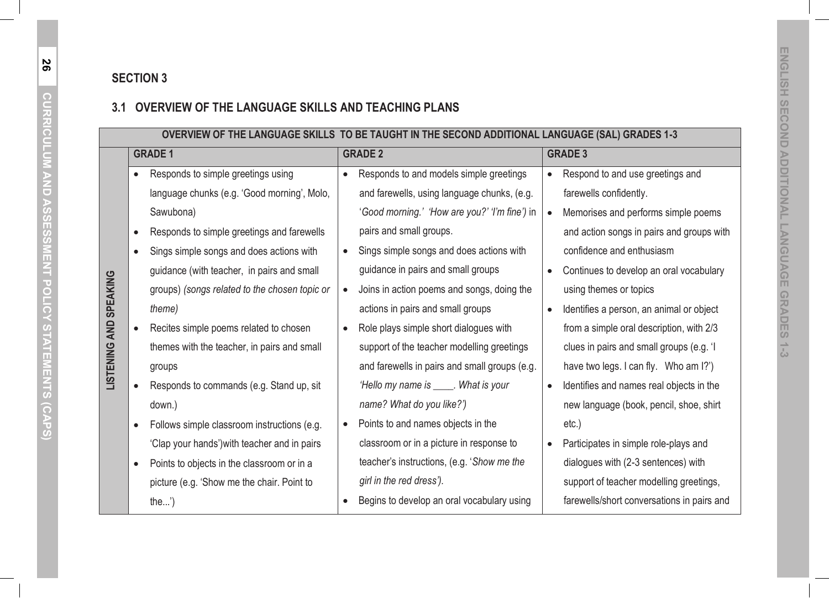|           | OVERVIEW OF THE LANGUAGE SKILLS TO BE TAUGHT IN THE SECOND ADDITIONAL LANGUAGE (SAL) GRADES 1-3 |  |                                               |           |                                            |  |  |
|-----------|-------------------------------------------------------------------------------------------------|--|-----------------------------------------------|-----------|--------------------------------------------|--|--|
|           | <b>GRADE 1</b>                                                                                  |  | <b>GRADE 2</b>                                |           | <b>GRADE 3</b>                             |  |  |
| $\bullet$ | Responds to simple greetings using                                                              |  | Responds to and models simple greetings       |           | Respond to and use greetings and           |  |  |
|           | language chunks (e.g. 'Good morning', Molo,                                                     |  | and farewells, using language chunks, (e.g.   |           | farewells confidently.                     |  |  |
|           | Sawubona)                                                                                       |  | 'Good morning.' 'How are you?' 'I'm fine') in | $\bullet$ | Memorises and performs simple poems        |  |  |
| $\bullet$ | Responds to simple greetings and farewells                                                      |  | pairs and small groups.                       |           | and action songs in pairs and groups with  |  |  |
| $\bullet$ | Sings simple songs and does actions with                                                        |  | Sings simple songs and does actions with      |           | confidence and enthusiasm                  |  |  |
|           | guidance (with teacher, in pairs and small                                                      |  | guidance in pairs and small groups            | $\bullet$ | Continues to develop an oral vocabulary    |  |  |
|           | groups) (songs related to the chosen topic or                                                   |  | Joins in action poems and songs, doing the    |           | using themes or topics                     |  |  |
|           | theme)                                                                                          |  | actions in pairs and small groups             | $\bullet$ | Identifies a person, an animal or object   |  |  |
|           | Recites simple poems related to chosen                                                          |  | Role plays simple short dialogues with        |           | from a simple oral description, with 2/3   |  |  |
|           | themes with the teacher, in pairs and small                                                     |  | support of the teacher modelling greetings    |           | clues in pairs and small groups (e.g. 'I   |  |  |
|           | groups                                                                                          |  | and farewells in pairs and small groups (e.g. |           | have two legs. I can fly. Who am I?')      |  |  |
|           | Responds to commands (e.g. Stand up, sit                                                        |  | 'Hello my name is _____. What is your         | $\bullet$ | Identifies and names real objects in the   |  |  |
|           | down.)                                                                                          |  | name? What do you like?')                     |           | new language (book, pencil, shoe, shirt    |  |  |
| $\bullet$ | Follows simple classroom instructions (e.g.                                                     |  | Points to and names objects in the            |           | $etc.$ )                                   |  |  |
|           | 'Clap your hands') with teacher and in pairs                                                    |  | classroom or in a picture in response to      | $\bullet$ | Participates in simple role-plays and      |  |  |
| $\bullet$ | Points to objects in the classroom or in a                                                      |  | teacher's instructions, (e.g. 'Show me the    |           | dialogues with (2-3 sentences) with        |  |  |
|           | picture (e.g. 'Show me the chair. Point to                                                      |  | girl in the red dress').                      |           | support of teacher modelling greetings,    |  |  |
|           | the')                                                                                           |  | Begins to develop an oral vocabulary using    |           | farewells/short conversations in pairs and |  |  |

**LISTENING AND SPEAKING**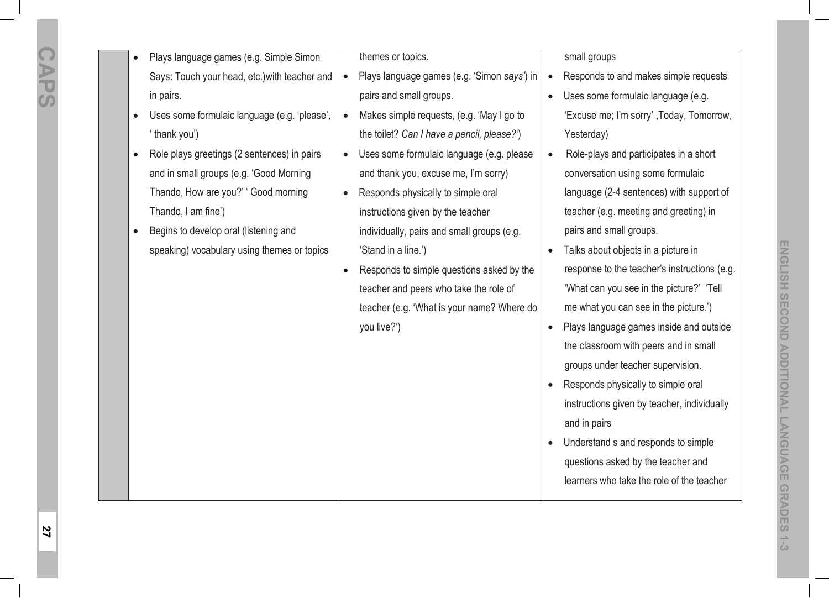| Plays language games (e.g. Simple Simon       | themes or topics.                                        | small groups                                         |
|-----------------------------------------------|----------------------------------------------------------|------------------------------------------------------|
| Says: Touch your head, etc.) with teacher and | Plays language games (e.g. 'Simon says') in<br>$\bullet$ | Responds to and makes simple requests                |
| in pairs.                                     | pairs and small groups.                                  | Uses some formulaic language (e.g.<br>$\bullet$      |
| Uses some formulaic language (e.g. 'please',  | Makes simple requests, (e.g. 'May I go to<br>$\bullet$   | 'Excuse me; I'm sorry', Today, Tomorrow,             |
| ' thank you')                                 | the toilet? Can I have a pencil, please?')               | Yesterday)                                           |
| Role plays greetings (2 sentences) in pairs   | Uses some formulaic language (e.g. please                | Role-plays and participates in a short<br>$\bullet$  |
| and in small groups (e.g. 'Good Morning       | and thank you, excuse me, I'm sorry)                     | conversation using some formulaic                    |
| Thando, How are you?' 'Good morning           | Responds physically to simple oral                       | language (2-4 sentences) with support of             |
| Thando, I am fine')                           | instructions given by the teacher                        | teacher (e.g. meeting and greeting) in               |
| Begins to develop oral (listening and         | individually, pairs and small groups (e.g.               | pairs and small groups.                              |
| speaking) vocabulary using themes or topics   | 'Stand in a line.')                                      | Talks about objects in a picture in                  |
|                                               | Responds to simple questions asked by the                | response to the teacher's instructions (e.g.         |
|                                               | teacher and peers who take the role of                   | 'What can you see in the picture?' 'Tell             |
|                                               | teacher (e.g. 'What is your name? Where do               | me what you can see in the picture.')                |
|                                               | you live?')                                              | Plays language games inside and outside<br>$\bullet$ |
|                                               |                                                          | the classroom with peers and in small                |
|                                               |                                                          | groups under teacher supervision.                    |
|                                               |                                                          | Responds physically to simple oral<br>$\bullet$      |
|                                               |                                                          | instructions given by teacher, individually          |
|                                               |                                                          | and in pairs                                         |
|                                               |                                                          | Understand s and responds to simple<br>$\bullet$     |
|                                               |                                                          | questions asked by the teacher and                   |
|                                               |                                                          | learners who take the role of the teacher            |
|                                               |                                                          |                                                      |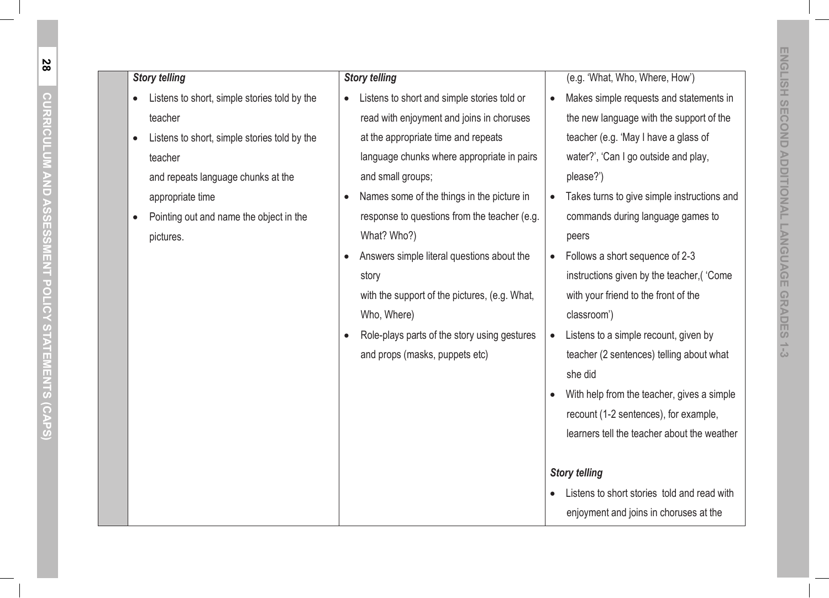| <b>Story telling</b>                         | <b>Story telling</b>                          | (e.g. 'What, Who, Where, How')                           |
|----------------------------------------------|-----------------------------------------------|----------------------------------------------------------|
| Listens to short, simple stories told by the | Listens to short and simple stories told or   | Makes simple requests and statements in<br>$\bullet$     |
| teacher                                      | read with enjoyment and joins in choruses     | the new language with the support of the                 |
| Listens to short, simple stories told by the | at the appropriate time and repeats           | teacher (e.g. 'May I have a glass of                     |
| teacher                                      | language chunks where appropriate in pairs    | water?', 'Can I go outside and play,                     |
| and repeats language chunks at the           | and small groups;                             | please?')                                                |
| appropriate time                             | Names some of the things in the picture in    | Takes turns to give simple instructions and<br>$\bullet$ |
| Pointing out and name the object in the      | response to questions from the teacher (e.g.  | commands during language games to                        |
| pictures.                                    | What? Who?)                                   | peers                                                    |
|                                              | Answers simple literal questions about the    | Follows a short sequence of 2-3<br>$\bullet$             |
|                                              | story                                         | instructions given by the teacher, ('Come                |
|                                              | with the support of the pictures, (e.g. What, | with your friend to the front of the                     |
|                                              | Who, Where)                                   | classroom')                                              |
|                                              | Role-plays parts of the story using gestures  | Listens to a simple recount, given by<br>$\bullet$       |
|                                              | and props (masks, puppets etc)                | teacher (2 sentences) telling about what                 |
|                                              |                                               | she did                                                  |
|                                              |                                               | With help from the teacher, gives a simple<br>$\bullet$  |
|                                              |                                               | recount (1-2 sentences), for example,                    |
|                                              |                                               | learners tell the teacher about the weather              |
|                                              |                                               |                                                          |
|                                              |                                               | <b>Story telling</b>                                     |
|                                              |                                               | Listens to short stories told and read with              |
|                                              |                                               | enjoyment and joins in choruses at the                   |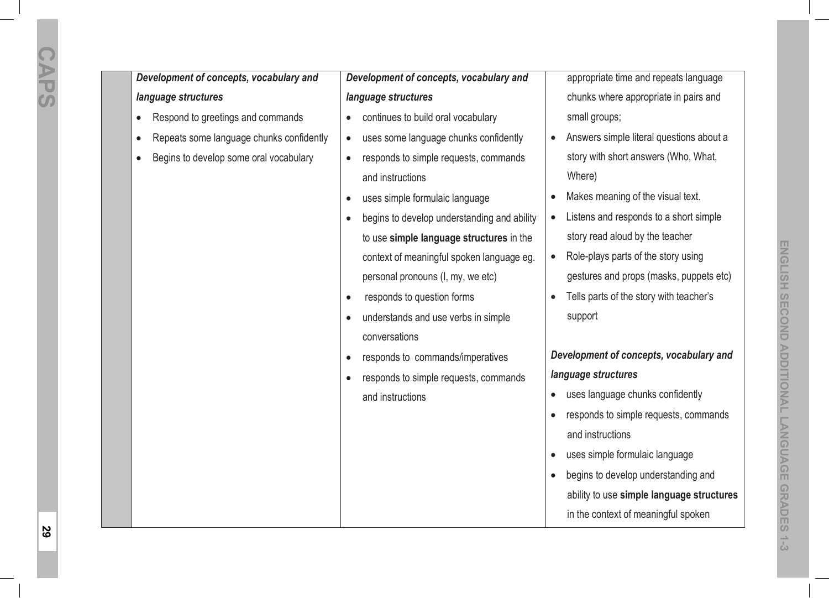*Development of concepts, vocabulary and language structures*

- $\bullet$ Respond to greetings and commands
- $\bullet$ Repeats some language chunks confidently
- $\bullet$ Begins to develop some oral vocabulary

*Development of concepts, vocabulary and language structures*

- $\bullet$ continues to build oral vocabulary
- $\bullet$ uses some language chunks confidently
- $\bullet$  responds to simple requests, commands and instructions
- $\bullet$ uses simple formulaic language
- $\bullet$  begins to develop understanding and ability to use **simple language structures** in the context of meaningful spoken language eg. personal pronouns (I, my, we etc)
- $\bullet$ responds to question forms
- $\bullet$  understands and use verbs in simple conversations
- $\bullet$ responds to commands/imperatives
- responds to simple requests, commands and instructions

appropriate time and repeats language chunks where appropriate in pairs and small groups:

- Answers simple literal questions about a story with short answers (Who, What, Where)
- $\bullet$ Makes meaning of the visual text.
- Listens and responds to a short simple story read aloud by the teacher
- Role-plays parts of the story using gestures and props (masks, puppets etc)
- Tells parts of the story with teacher's support

*Development of concepts, vocabulary and* 

## *language structures*

- uses language chunks confidently
- responds to simple requests, commands and instructions
- $\bullet$ uses simple formulaic language
- begins to develop understanding and ability to use **simple language structures** in the context of meaningful spoken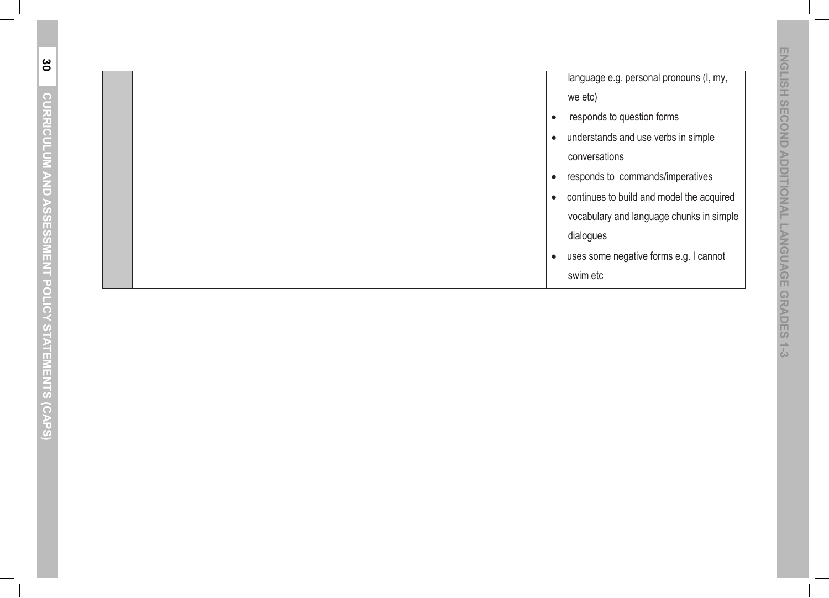|  | language e.g. personal pronouns (I, my,<br>we etc)<br>responds to question forms<br>$\bullet$<br>understands and use verbs in simple<br>$\bullet$<br>conversations<br>responds to commands/imperatives<br>$\bullet$<br>continues to build and model the acquired<br>$\bullet$<br>vocabulary and language chunks in simple<br>dialogues<br>uses some negative forms e.g. I cannot<br>$\bullet$<br>swim etc |
|--|-----------------------------------------------------------------------------------------------------------------------------------------------------------------------------------------------------------------------------------------------------------------------------------------------------------------------------------------------------------------------------------------------------------|
|--|-----------------------------------------------------------------------------------------------------------------------------------------------------------------------------------------------------------------------------------------------------------------------------------------------------------------------------------------------------------------------------------------------------------|

**30**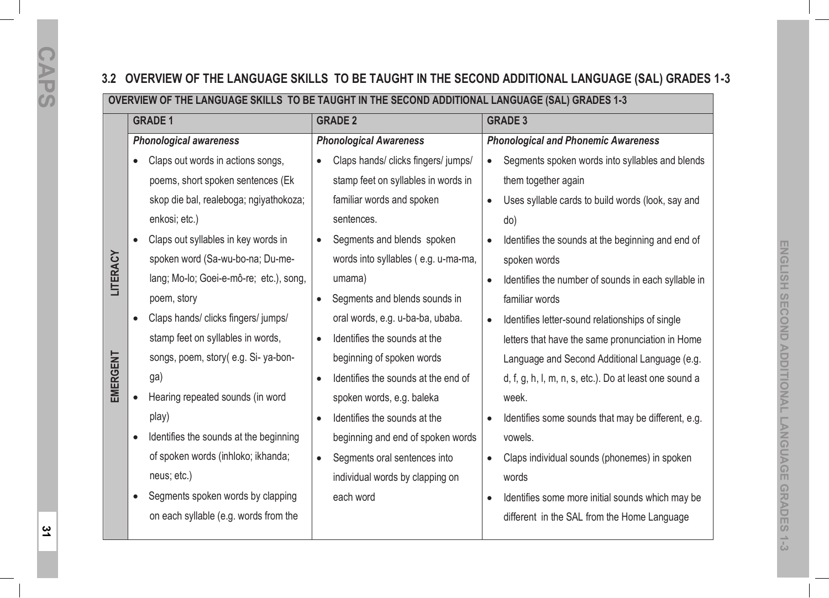# **3.2 OVERVIEW OF THE LANGUAGE SKILLS TO BE TAUGHT IN THE SECOND ADDITIONAL LANGUAGE (SAL) GRADES 1-3**

## **OVERVIEW OF THE LANGUAGE SKILLS TO BE TAUGHT IN THE SECOND ADDITIONAL LANGUAGE (SAL) GRADES 1-3**

|          | <b>GRADE 1</b>                                      | <b>GRADE 2</b>                                   | <b>GRADE 3</b>                                                   |
|----------|-----------------------------------------------------|--------------------------------------------------|------------------------------------------------------------------|
|          | <b>Phonological awareness</b>                       | <b>Phonological Awareness</b>                    | <b>Phonological and Phonemic Awareness</b>                       |
|          | Claps out words in actions songs,<br>$\bullet$      | Claps hands/ clicks fingers/ jumps/<br>$\bullet$ | Segments spoken words into syllables and blends<br>$\bullet$     |
|          | poems, short spoken sentences (Ek                   | stamp feet on syllables in words in              | them together again                                              |
|          | skop die bal, realeboga; ngiyathokoza;              | familiar words and spoken                        | Uses syllable cards to build words (look, say and<br>$\bullet$   |
|          | enkosi; etc.)                                       | sentences.                                       | do)                                                              |
|          | Claps out syllables in key words in                 | Segments and blends spoken                       | Identifies the sounds at the beginning and end of                |
| LITERACY | spoken word (Sa-wu-bo-na; Du-me-                    | words into syllables (e.g. u-ma-ma,              | spoken words                                                     |
|          | lang; Mo-lo; Goei-e-mô-re; etc.), song,             | umama)                                           | Identifies the number of sounds in each syllable in<br>$\bullet$ |
|          | poem, story                                         | Segments and blends sounds in                    | familiar words                                                   |
| EMERGENT | Claps hands/ clicks fingers/ jumps/                 | oral words, e.g. u-ba-ba, ubaba.                 | Identifies letter-sound relationships of single<br>$\bullet$     |
|          | stamp feet on syllables in words,                   | Identifies the sounds at the<br>$\bullet$        | letters that have the same pronunciation in Home                 |
|          | songs, poem, story(e.g. Si-ya-bon-                  | beginning of spoken words                        | Language and Second Additional Language (e.g.                    |
|          | ga)                                                 | Identifies the sounds at the end of<br>$\bullet$ | d, f, g, h, l, m, n, s, etc.). Do at least one sound a           |
|          | Hearing repeated sounds (in word<br>$\bullet$       | spoken words, e.g. baleka                        | week.                                                            |
|          | play)                                               | Identifies the sounds at the<br>$\bullet$        | Identifies some sounds that may be different, e.g.               |
|          | Identifies the sounds at the beginning<br>$\bullet$ | beginning and end of spoken words                | vowels.                                                          |
|          | of spoken words (inhloko; ikhanda;                  | Segments oral sentences into<br>$\bullet$        | Claps individual sounds (phonemes) in spoken<br>$\bullet$        |
|          | neus; etc.)                                         | individual words by clapping on                  | words                                                            |
|          | Segments spoken words by clapping                   | each word                                        | Identifies some more initial sounds which may be<br>$\bullet$    |
|          | on each syllable (e.g. words from the               |                                                  | different in the SAL from the Home Language                      |
|          |                                                     |                                                  |                                                                  |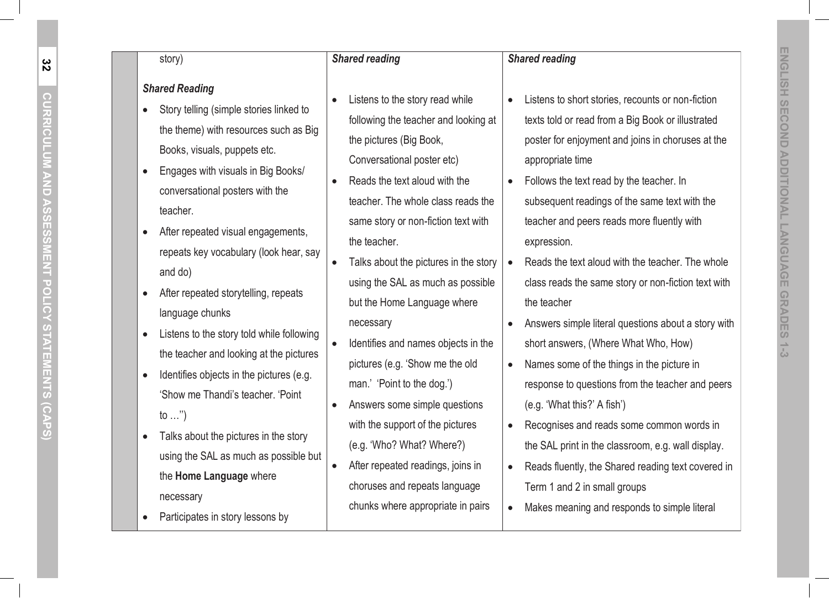# **CURRICULUM AND ASSESSMENT POLICY STATEMENTS (CAPS) CORRICULUM** I<br>N<br>U<br>U ್ಯ<br>೧೦ **ESSMENT POLIC** STATEMENTS

 $\widehat{\mathsf{o}}$ 

- $\bullet$  Story telling (simple stories linked to the theme) with resources such as Big Books, visuals, puppets etc.
- $\bullet$  Engages with visuals in Big Books/ conversational posters with the teacher.
- $\bullet$  After repeated visual engagements, repeats key vocabulary (look hear, say and do)
- $\bullet$  After repeated storytelling, repeats language chunks
- $\bullet$  Listens to the story told while following the teacher and looking at the pictures
- $\bullet$  Identifies objects in the pictures (e.g. 'Show me Thandi's teacher. 'Point to  $\ldots$ ")
- $\bullet$  Talks about the pictures in the story using the SAL as much as possible but the **Home Language** where necessary
- $\bullet$ Participates in story lessons by

## *Shared reading*

 $\bullet$ 

- $\bullet$  Listens to the story read while following the teacher and looking at the pictures (Big Book, Conversational poster etc)
- $\bullet$  Reads the text aloud with the teacher. The whole class reads the same story or non-fiction text with the teacher.
- Talks about the pictures in the story using the SAL as much as possible but the Home Language where necessary
- $\bullet$  Identifies and names objects in the pictures (e.g. 'Show me the old man.' 'Point to the dog.')
- $\bullet$  Answers some simple questions with the support of the pictures (e.g. 'Who? What? Where?)
- $\bullet$  After repeated readings, joins in choruses and repeats language chunks where appropriate in pairs

Shared reading<br>
Shared reading<br>
Shared Reading<br>
ENGLISHER SONG SHOW INTO SURVER SONG SHOW THE SURVER SURVER SONG SHOW INTO SURVER SURVER SURVER SURVER SURVER SURVER SURVER SURVER SURVER SURVER SURVER SURVER SURVER SURVER Listens to short stories, recounts or non-fiction texts told or read from a Big Book or illustrated poster for enjoyment and joins in choruses at the appropriate time

*Shared reading* 

 $\bullet$ 

- $\bullet$  Follows the text read by the teacher. In subsequent readings of the same text with the teacher and peers reads more fluently with expression.
- Reads the text aloud with the teacher. The whole class reads the same story or non-fiction text with the teacher
- Answers simple literal questions about a story with short answers, (Where What Who, How)
- $\bullet$  Names some of the things in the picture in response to questions from the teacher and peers (e.g. 'What this?' A fish')
- $\bullet$  Recognises and reads some common words in the SAL print in the classroom, e.g. wall display.
- $\bullet$  Reads fluently, the Shared reading text covered in Term 1 and 2 in small groups
- $\bullet$ Makes meaning and responds to simple literal

**32**